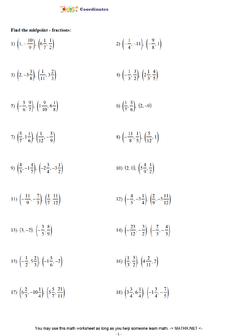

## Find the midpoint - fractions:

| 1) $\left(1, -\frac{10}{9}\right), \left(6\frac{1}{7}, \frac{1}{2}\right)$                | 2) $\left(-\frac{1}{4},-11\right), \left(-\frac{9}{8},1\right)$                           |
|-------------------------------------------------------------------------------------------|-------------------------------------------------------------------------------------------|
| 3) $\left(2, -3\frac{3}{8}\right), \left(\frac{1}{11}, 3\frac{2}{3}\right)$               | 4) $\left(-\frac{1}{3}, \frac{3}{2}\right), \left(2\frac{1}{3}, \frac{4}{5}\right)$       |
| 5) $\left(-\frac{5}{6}, \frac{9}{7}\right), \left(1\frac{9}{10}, 6\frac{1}{8}\right)$     | 6) $\left(\frac{1}{7}, \frac{5}{6}\right)$ , $(2, -9)$                                    |
| 7) $\left(\frac{5}{7}, 1\frac{1}{6}\right), \left(\frac{1}{12}, -\frac{5}{9}\right)$      | 8) $\left(-\frac{11}{8}, \frac{1}{5}\right), \left(\frac{5}{12}, 1\right)$                |
| 9) $\left(\frac{4}{3}, -1\frac{4}{7}\right), \left(-2\frac{3}{4}, -3\frac{1}{2}\right)$   | 10) $(2, 0), \left(5\frac{4}{9}, \frac{1}{2}\right)$                                      |
| 11) $\left(-\frac{11}{9}, -\frac{7}{5}\right), \left(\frac{1}{7}, \frac{11}{12}\right)$   | 12) $\left(-\frac{4}{5}, -3\frac{1}{4}\right), \left(\frac{2}{9}, -3\frac{11}{12}\right)$ |
| 13) $(3, -2), \left(-\frac{3}{5}, \frac{8}{9}\right)$                                     | 14) $\left(-\frac{23}{12}, -\frac{3}{2}\right), \left(-\frac{7}{5}, -\frac{4}{3}\right)$  |
| 15) $\left(-\frac{1}{2}, 5\frac{2}{3}\right), \left(-1\frac{5}{6}, -2\right)$             | 16) $\left(\frac{1}{3}, \frac{3}{2}\right), \left(4\frac{2}{11}, 2\right)$                |
| 17) $\left(6\frac{2}{3}, -10\frac{1}{4}\right), \left(5\frac{5}{7}, \frac{21}{11}\right)$ | 18) $\left(3\frac{3}{4}, 6\frac{1}{4}\right), \left(-1\frac{3}{4}, -\frac{7}{5}\right)$   |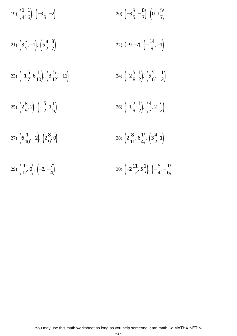| 19) $\left(\frac{1}{4},\frac{1}{6}\right), \left(-3\frac{1}{3},-2\right)$        | 20) $\left(-3\frac{3}{5}, -\frac{8}{7}\right), \left(0, 1\frac{5}{7}\right)$              |
|----------------------------------------------------------------------------------|-------------------------------------------------------------------------------------------|
| 21) $\left(3\frac{3}{5},-1\right), \left(5\frac{4}{7},\frac{8}{7}\right)$        | 22) $(-9, -7), \left(-\frac{14}{9}, -1\right)$                                            |
| 23) $\left(-1\frac{5}{7}, 6\frac{1}{10}\right), \left(3\frac{5}{12}, -11\right)$ | 24) $\left(-2\frac{5}{8},\frac{1}{2}\right), \left(5\frac{5}{6},-\frac{1}{2}\right)$      |
| 25) $\left(2\frac{8}{9}, 2\right), \left(-\frac{5}{7}, 1\frac{1}{5}\right)$      | 26) $\left(-1\frac{7}{9},\frac{1}{2}\right), \left(\frac{4}{3},2\frac{7}{12}\right)$      |
| 27) $\left(6\frac{1}{10}, -2\right), \left(2\frac{8}{9}, 0\right)$               | 28) $\left(2\frac{8}{11}, 6\frac{1}{4}\right), \left(3\frac{4}{7}, 1\right)$              |
| 29) $\left(\frac{1}{12}, 0\right), \left(-3, -\frac{7}{4}\right)$                | 30) $\left(-2\frac{11}{12}, 5\frac{1}{7}\right), \left(-\frac{5}{4}, -\frac{1}{6}\right)$ |

You may use this math worksheet as long as you help someone learn math. -> MATHX.NET <-

  $\frac{1}{6}$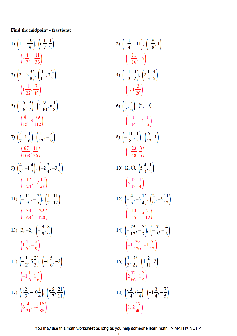## Find the midpoint - fractions:

1) 
$$
\left(1, -\frac{10}{9}\right), \left(6\frac{1}{7}, \frac{1}{2}\right)
$$
  
\n $\left(3\frac{4}{7}, -\frac{11}{36}\right)$   
\n3)  $\left(2, -3\frac{3}{8}\right), \left(\frac{1}{11}, 3\frac{2}{3}\right)$   
\n $\left(1\frac{1}{22}, \frac{7}{48}\right)$   
\n5)  $\left(-\frac{5}{6}, \frac{9}{7}\right), \left(1\frac{9}{10}, 6\frac{1}{8}\right)$   
\n $\left(\frac{8}{15}, 3\frac{79}{112}\right)$   
\n7)  $\left(\frac{5}{7}, 1\frac{1}{6}\right), \left(\frac{1}{12}, -\frac{5}{9}\right)$   
\n $\left(\frac{67}{168}, \frac{11}{36}\right)$   
\n9)  $\left(\frac{4}{3}, -1\frac{4}{7}\right), \left(-2\frac{3}{4}, -3\frac{1}{2}\right)$   
\n $\left(-\frac{17}{24}, -2\frac{15}{28}\right)$   
\n11)  $\left(-\frac{11}{9}, -\frac{7}{5}\right), \left(\frac{1}{7}, \frac{11}{12}\right)$   
\n $\left(-\frac{34}{63}, -\frac{29}{120}\right)$   
\n13)  $(3, -2), \left(-\frac{3}{5}, \frac{8}{9}\right)$   
\n $\left(1\frac{1}{5}, -\frac{5}{9}\right)$   
\n15)  $\left(-\frac{1}{2}, 5\frac{2}{3}\right), \left(-1\frac{5}{6}, -2\right)$   
\n $\left(-1\frac{1}{6}, 1\frac{5}{6}\right)$   
\n17)  $\left(6\frac{2}{3}, -10\frac{1}{4}\right), \left(5\frac{5}{7}, \frac{21}{11}\right)$   
\n $\left(6\frac{4}{21}, -4\frac{15}{88}\right)$ 

2) 
$$
\left(-\frac{1}{4}, -11\right), \left(-\frac{9}{8}, 1\right)
$$
  
\n $\left(-\frac{11}{16}, -5\right)$   
\n4)  $\left(-\frac{1}{3}, \frac{3}{2}\right), \left(2\frac{1}{3}, \frac{4}{5}\right)$   
\n $\left(1, 1\frac{3}{20}\right)$   
\n6)  $\left(\frac{1}{7}, \frac{5}{6}\right), (2, -9)$   
\n $\left(1\frac{1}{14}, -4\frac{1}{12}\right)$   
\n8)  $\left(-\frac{11}{8}, \frac{1}{5}\right), \left(\frac{5}{12}, 1\right)$   
\n $\left(-\frac{23}{48}, \frac{3}{5}\right)$   
\n10)  $(2, 0), \left(5\frac{4}{9}, \frac{1}{2}\right)$   
\n $\left(3\frac{13}{18}, \frac{1}{4}\right)$   
\n12)  $\left(-\frac{4}{5}, -3\frac{1}{4}\right), \left(\frac{2}{9}, -3\frac{11}{12}\right)$   
\n $\left(-\frac{13}{45}, -3\frac{7}{12}\right)$   
\n14)  $\left(-\frac{23}{12}, -\frac{3}{2}\right), \left(-\frac{7}{5}, -\frac{4}{3}\right)$   
\n $\left(-1\frac{79}{120}, -1\frac{5}{12}\right)$   
\n16)  $\left(\frac{1}{3}, \frac{3}{2}\right), \left(4\frac{2}{11}, 2\right)$   
\n $\left(2\frac{17}{66}, 1\frac{3}{4}\right)$   
\n18)  $\left(3\frac{3}{4}, 6\frac{1}{4}\right), \left(-1\frac{3}{4}, -\frac{7}{5}\right)$   
\n $\left(1, 2\frac{17}{40}\right)$